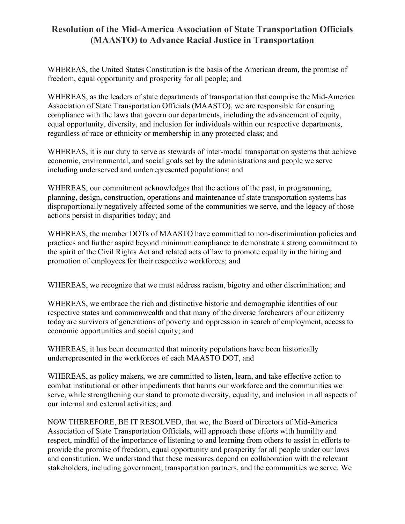## **Resolution of the Mid-America Association of State Transportation Officials (MAASTO) to Advance Racial Justice in Transportation**

WHEREAS, the United States Constitution is the basis of the American dream, the promise of freedom, equal opportunity and prosperity for all people; and

WHEREAS, as the leaders of state departments of transportation that comprise the Mid-America Association of State Transportation Officials (MAASTO), we are responsible for ensuring compliance with the laws that govern our departments, including the advancement of equity, equal opportunity, diversity, and inclusion for individuals within our respective departments, regardless of race or ethnicity or membership in any protected class; and

WHEREAS, it is our duty to serve as stewards of inter-modal transportation systems that achieve economic, environmental, and social goals set by the administrations and people we serve including underserved and underrepresented populations; and

WHEREAS, our commitment acknowledges that the actions of the past, in programming, planning, design, construction, operations and maintenance of state transportation systems has disproportionally negatively affected some of the communities we serve, and the legacy of those actions persist in disparities today; and

WHEREAS, the member DOTs of MAASTO have committed to non-discrimination policies and practices and further aspire beyond minimum compliance to demonstrate a strong commitment to the spirit of the Civil Rights Act and related acts of law to promote equality in the hiring and promotion of employees for their respective workforces; and

WHEREAS, we recognize that we must address racism, bigotry and other discrimination; and

WHEREAS, we embrace the rich and distinctive historic and demographic identities of our respective states and commonwealth and that many of the diverse forebearers of our citizenry today are survivors of generations of poverty and oppression in search of employment, access to economic opportunities and social equity; and

WHEREAS, it has been documented that minority populations have been historically underrepresented in the workforces of each MAASTO DOT, and

WHEREAS, as policy makers, we are committed to listen, learn, and take effective action to combat institutional or other impediments that harms our workforce and the communities we serve, while strengthening our stand to promote diversity, equality, and inclusion in all aspects of our internal and external activities; and

NOW THEREFORE, BE IT RESOLVED, that we, the Board of Directors of Mid-America Association of State Transportation Officials, will approach these efforts with humility and respect, mindful of the importance of listening to and learning from others to assist in efforts to provide the promise of freedom, equal opportunity and prosperity for all people under our laws and constitution. We understand that these measures depend on collaboration with the relevant stakeholders, including government, transportation partners, and the communities we serve. We